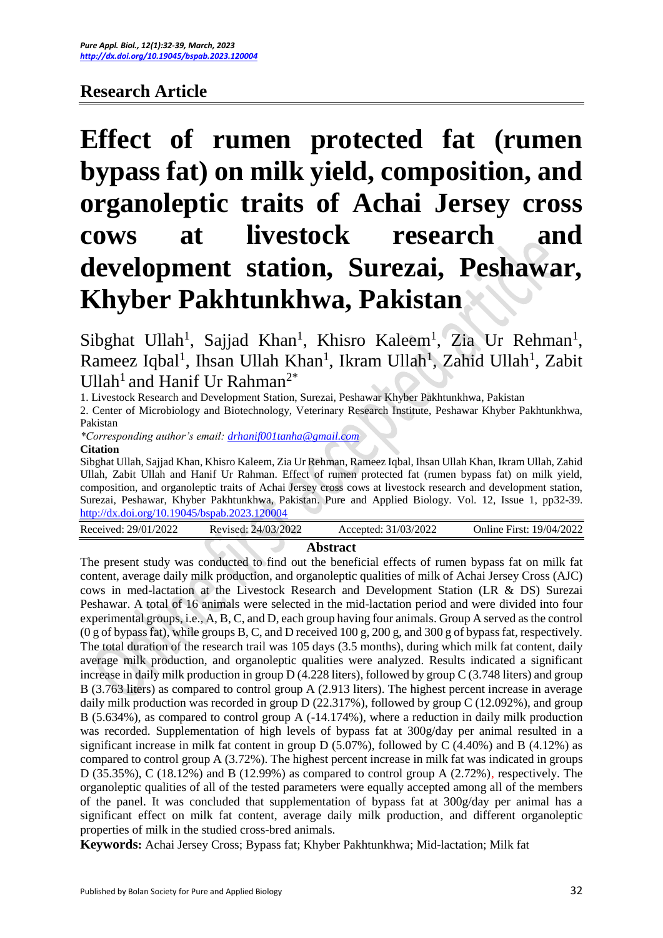## **Research Article**

# **Effect of rumen protected fat (rumen bypass fat) on milk yield, composition, and organoleptic traits of Achai Jersey cross cows at livestock research and development station, Surezai, Peshawar, Khyber Pakhtunkhwa, Pakistan**

Sibghat Ullah<sup>1</sup>, Sajjad Khan<sup>1</sup>, Khisro Kaleem<sup>1</sup>, Zia Ur Rehman<sup>1</sup>, Rameez Iqbal<sup>1</sup>, Ihsan Ullah Khan<sup>1</sup>, Ikram Ullah<sup>1</sup>, Zahid Ullah<sup>1</sup>, Zabit Ullah<sup>1</sup> and Hanif Ur Rahman<sup>2\*</sup>

1. Livestock Research and Development Station, Surezai, Peshawar Khyber Pakhtunkhwa, Pakistan

2. Center of Microbiology and Biotechnology, Veterinary Research Institute, Peshawar Khyber Pakhtunkhwa, Pakistan

*\*Corresponding author's email: [drhanif001tanha@gmail.com](mailto:drhanif001tanha@gmail.com)* 

#### **Citation**

Sibghat Ullah, Sajjad Khan, Khisro Kaleem, Zia Ur Rehman, Rameez Iqbal, Ihsan Ullah Khan, Ikram Ullah, Zahid Ullah, Zabit Ullah and Hanif Ur Rahman. Effect of rumen protected fat (rumen bypass fat) on milk yield, composition, and organoleptic traits of Achai Jersey cross cows at livestock research and development station, Surezai, Peshawar, Khyber Pakhtunkhwa, Pakistan. Pure and Applied Biology. Vol. 12, Issue 1, pp32-39. <http://dx.doi.org/10.19045/bspab.2023.120004>

| Received: 29/01/2022 | Revised: 24/03/2022 | Accepted: 31/03/2022 | Online First: 19/04/2022 |
|----------------------|---------------------|----------------------|--------------------------|
|                      |                     |                      |                          |

#### **Abstract**

The present study was conducted to find out the beneficial effects of rumen bypass fat on milk fat content, average daily milk production, and organoleptic qualities of milk of Achai Jersey Cross (AJC) cows in med-lactation at the Livestock Research and Development Station (LR & DS) Surezai Peshawar. A total of 16 animals were selected in the mid-lactation period and were divided into four experimental groups, i.e., A, B, C, and D, each group having four animals. Group A served as the control (0 g of bypass fat), while groups B, C, and D received 100 g, 200 g, and 300 g of bypass fat, respectively. The total duration of the research trail was 105 days (3.5 months), during which milk fat content, daily average milk production, and organoleptic qualities were analyzed. Results indicated a significant increase in daily milk production in group D (4.228 liters), followed by group C (3.748 liters) and group B (3.763 liters) as compared to control group A (2.913 liters). The highest percent increase in average daily milk production was recorded in group D (22.317%), followed by group C (12.092%), and group B (5.634%), as compared to control group A (-14.174%), where a reduction in daily milk production was recorded. Supplementation of high levels of bypass fat at 300g/day per animal resulted in a significant increase in milk fat content in group  $D(5.07\%)$ , followed by C (4.40%) and B (4.12%) as compared to control group A (3.72%). The highest percent increase in milk fat was indicated in groups D (35.35%), C (18.12%) and B (12.99%) as compared to control group A (2.72%), respectively. The organoleptic qualities of all of the tested parameters were equally accepted among all of the members of the panel. It was concluded that supplementation of bypass fat at 300g/day per animal has a significant effect on milk fat content, average daily milk production, and different organoleptic properties of milk in the studied cross-bred animals.

**Keywords:** Achai Jersey Cross; Bypass fat; Khyber Pakhtunkhwa; Mid-lactation; Milk fat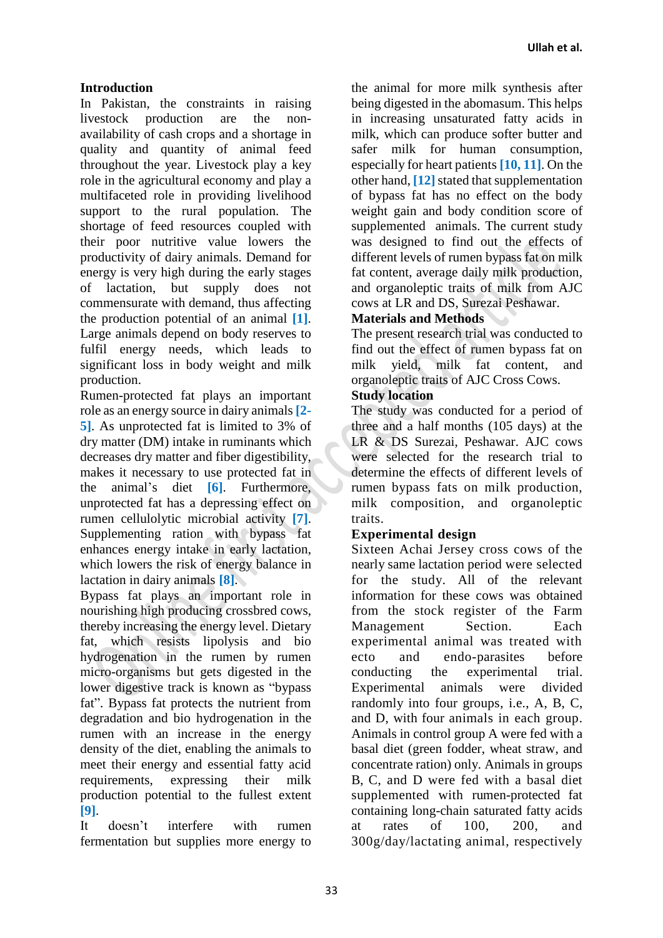## **Introduction**

In Pakistan, the constraints in raising livestock production are the nonavailability of cash crops and a shortage in quality and quantity of animal feed throughout the year. Livestock play a key role in the agricultural economy and play a multifaceted role in providing livelihood support to the rural population. The shortage of feed resources coupled with their poor nutritive value lowers the productivity of dairy animals. Demand for energy is very high during the early stages of lactation, but supply does not commensurate with demand, thus affecting the production potential of an animal **[1]**. Large animals depend on body reserves to fulfil energy needs, which leads to significant loss in body weight and milk production.

Rumen-protected fat plays an important role as an energy source in dairy animals **[2- 5]**. As unprotected fat is limited to 3% of dry matter (DM) intake in ruminants which decreases dry matter and fiber digestibility, makes it necessary to use protected fat in the animal's diet **[6]**. Furthermore, unprotected fat has a depressing effect on rumen cellulolytic microbial activity **[7]**. Supplementing ration with bypass fat enhances energy intake in early lactation, which lowers the risk of energy balance in lactation in dairy animals **[8]**.

Bypass fat plays an important role in nourishing high producing crossbred cows, thereby increasing the energy level. Dietary fat, which resists lipolysis and bio hydrogenation in the rumen by rumen micro-organisms but gets digested in the lower digestive track is known as "bypass fat". Bypass fat protects the nutrient from degradation and bio hydrogenation in the rumen with an increase in the energy density of the diet, enabling the animals to meet their energy and essential fatty acid requirements, expressing their milk production potential to the fullest extent **[9]**.

It doesn't interfere with rumen fermentation but supplies more energy to the animal for more milk synthesis after being digested in the abomasum. This helps in increasing unsaturated fatty acids in milk, which can produce softer butter and safer milk for human consumption, especially for heart patients **[10, 11]**. On the other hand, **[12]**stated that supplementation of bypass fat has no effect on the body weight gain and body condition score of supplemented animals. The current study was designed to find out the effects of different levels of rumen bypass fat on milk fat content, average daily milk production, and organoleptic traits of milk from AJC cows at LR and DS, Surezai Peshawar.

## **Materials and Methods**

The present research trial was conducted to find out the effect of rumen bypass fat on milk yield, milk fat content, and organoleptic traits of AJC Cross Cows.

## **Study location**

The study was conducted for a period of three and a half months (105 days) at the LR & DS Surezai, Peshawar. AJC cows were selected for the research trial to determine the effects of different levels of rumen bypass fats on milk production, milk composition, and organoleptic traits.

## **Experimental design**

Sixteen Achai Jersey cross cows of the nearly same lactation period were selected for the study. All of the relevant information for these cows was obtained from the stock register of the Farm Management Section. Each experimental animal was treated with ecto and endo-parasites before conducting the experimental trial. Experimental animals were divided randomly into four groups, i.e., A, B, C, and D, with four animals in each group. Animals in control group A were fed with a basal diet (green fodder, wheat straw, and concentrate ration) only*.* Animals in groups B, C, and D were fed with a basal diet supplemented with rumen-protected fat containing long-chain saturated fatty acids at rates of 100, 200, and 300g/day/lactating animal, respectively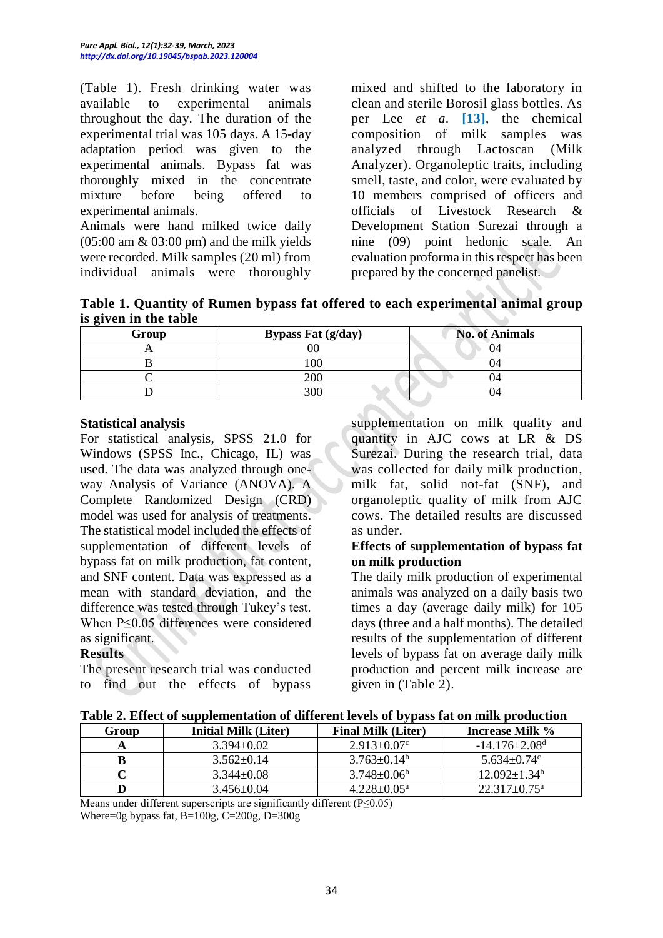(Table 1). Fresh drinking water was available to experimental animals throughout the day. The duration of the experimental trial was 105 days. A 15-day adaptation period was given to the experimental animals. Bypass fat was thoroughly mixed in the concentrate mixture before being offered to experimental animals.

Animals were hand milked twice daily  $(05:00 \text{ am } \& 03:00 \text{ pm})$  and the milk yields were recorded. Milk samples (20 ml) from individual animals were thoroughly mixed and shifted to the laboratory in clean and sterile Borosil glass bottles. As per Lee *et a.* **[13]**, the chemical composition of milk samples was analyzed through Lactoscan (Milk Analyzer). Organoleptic traits, including smell, taste, and color, were evaluated by 10 members comprised of officers and officials of Livestock Research & Development Station Surezai through a nine (09) point hedonic scale. An evaluation proforma in this respect has been prepared by the concerned panelist.

**Table 1. Quantity of Rumen bypass fat offered to each experimental animal group is given in the table**

| o<br>Group | <b>Bypass Fat (g/day)</b> | <b>No. of Animals</b> |  |
|------------|---------------------------|-----------------------|--|
|            |                           |                       |  |
|            | 100                       |                       |  |
|            | 200                       |                       |  |
|            | 300                       |                       |  |

#### **Statistical analysis**

For statistical analysis, SPSS 21.0 for Windows (SPSS Inc., Chicago, IL) was used. The data was analyzed through oneway Analysis of Variance (ANOVA). A Complete Randomized Design (CRD) model was used for analysis of treatments. The statistical model included the effects of supplementation of different levels of bypass fat on milk production, fat content, and SNF content. Data was expressed as a mean with standard deviation, and the difference was tested through Tukey's test. When P≤0.05 differences were considered as significant.

## **Results**

The present research trial was conducted to find out the effects of bypass

supplementation on milk quality and quantity in AJC cows at LR & DS Surezai. During the research trial, data was collected for daily milk production, milk fat, solid not-fat (SNF), and organoleptic quality of milk from AJC cows. The detailed results are discussed as under.

#### **Effects of supplementation of bypass fat on milk production**

The daily milk production of experimental animals was analyzed on a daily basis two times a day (average daily milk) for 105 days (three and a half months). The detailed results of the supplementation of different levels of bypass fat on average daily milk production and percent milk increase are given in (Table 2).

|  | Table 2. Effect of supplementation of different levels of bypass fat on milk production |  |  |  |  |
|--|-----------------------------------------------------------------------------------------|--|--|--|--|
|--|-----------------------------------------------------------------------------------------|--|--|--|--|

| Group | <b>Initial Milk (Liter)</b> | <b>Final Milk (Liter)</b> | <b>Increase Milk %</b>          |
|-------|-----------------------------|---------------------------|---------------------------------|
|       | $3.394 \pm 0.02$            | $2.913 \pm 0.07$ °        | $-14.176 \pm 2.08$ <sup>d</sup> |
|       | $3.562 \pm 0.14$            | $3.763 + 0.14^b$          | $5.634 \pm 0.74$ °              |
|       | $3.344 \pm 0.08$            | $3.748 + 0.06^b$          | $12.092+1.34b$                  |
|       | $3.456 \pm 0.04$            | $4.228 + 0.05^{\circ}$    | $22.317 + 0.75^{\text{a}}$      |
| .     |                             |                           |                                 |

Means under different superscripts are significantly different (P≤0.05) Where=0g bypass fat,  $B=100g$ ,  $C=200g$ ,  $D=300g$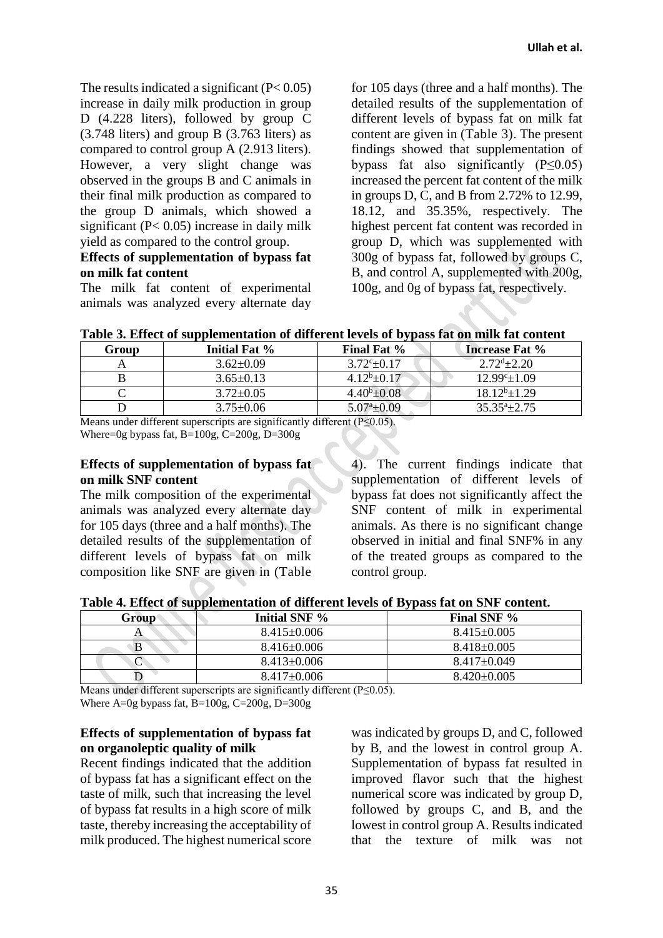The results indicated a significant  $(P< 0.05)$ increase in daily milk production in group D (4.228 liters), followed by group C (3.748 liters) and group B (3.763 liters) as compared to control group A (2.913 liters). However, a very slight change was observed in the groups B and C animals in their final milk production as compared to the group D animals, which showed a significant (P< 0.05) increase in daily milk yield as compared to the control group.

#### **Effects of supplementation of bypass fat on milk fat content**

The milk fat content of experimental animals was analyzed every alternate day for 105 days (three and a half months). The detailed results of the supplementation of different levels of bypass fat on milk fat content are given in (Table 3). The present findings showed that supplementation of bypass fat also significantly  $(P \le 0.05)$ increased the percent fat content of the milk in groups D, C, and B from 2.72% to 12.99, 18.12, and 35.35%, respectively. The highest percent fat content was recorded in group D, which was supplemented with 300g of bypass fat, followed by groups C, B, and control A, supplemented with 200g, 100g, and 0g of bypass fat, respectively.

| Table 3. Effect of supplementation of different levels of bypass fat on milk fat content |
|------------------------------------------------------------------------------------------|
|------------------------------------------------------------------------------------------|

| Group | Initial Fat %   | <b>Final Fat %</b>    | <b>Increase Fat %</b>      |
|-------|-----------------|-----------------------|----------------------------|
|       | $3.62 + 0.09$   | $3.72^{c}+0.17$       | $2.72^{d} + 2.20$          |
|       | $3.65 \pm 0.13$ | $4.12^b + 0.17$       | $12.99^{\circ}$ $\pm 1.09$ |
|       | $3.72 \pm 0.05$ | $4.40^{\rm b}$ ± 0.08 | $18.12^b \pm 1.29$         |
|       | $3.75 \pm 0.06$ | $5.07^{\circ}$ ± 0.09 | $35.35^{\circ}+2.75$       |

Means under different superscripts are significantly different (P≤0.05).

Where=0g bypass fat, B=100g, C=200g, D=300g

#### **Effects of supplementation of bypass fat on milk SNF content**

The milk composition of the experimental animals was analyzed every alternate day for 105 days (three and a half months). The detailed results of the supplementation of different levels of bypass fat on milk composition like SNF are given in (Table

4). The current findings indicate that supplementation of different levels of bypass fat does not significantly affect the SNF content of milk in experimental animals. As there is no significant change observed in initial and final SNF% in any of the treated groups as compared to the control group.

**Table 4. Effect of supplementation of different levels of Bypass fat on SNF content.**

| Group | .<br>Initial SNF % | . .<br>Final SNF % |
|-------|--------------------|--------------------|
|       | $8.415 \pm 0.006$  | $8.415 \pm 0.005$  |
|       | $8.416\pm0.006$    | $8.418 \pm 0.005$  |
|       | $8.413 \pm 0.006$  | $8.417\pm0.049$    |
|       | $8.417\pm0.006$    | $8.420\pm0.005$    |

Means under different superscripts are significantly different (P≤0.05).

Where A=0g bypass fat, B=100g, C=200g, D=300g

#### **Effects of supplementation of bypass fat on organoleptic quality of milk**

Recent findings indicated that the addition of bypass fat has a significant effect on the taste of milk, such that increasing the level of bypass fat results in a high score of milk taste, thereby increasing the acceptability of milk produced. The highest numerical score

was indicated by groups D, and C, followed by B, and the lowest in control group A. Supplementation of bypass fat resulted in improved flavor such that the highest numerical score was indicated by group D, followed by groups C, and B, and the lowest in control group A. Results indicated that the texture of milk was not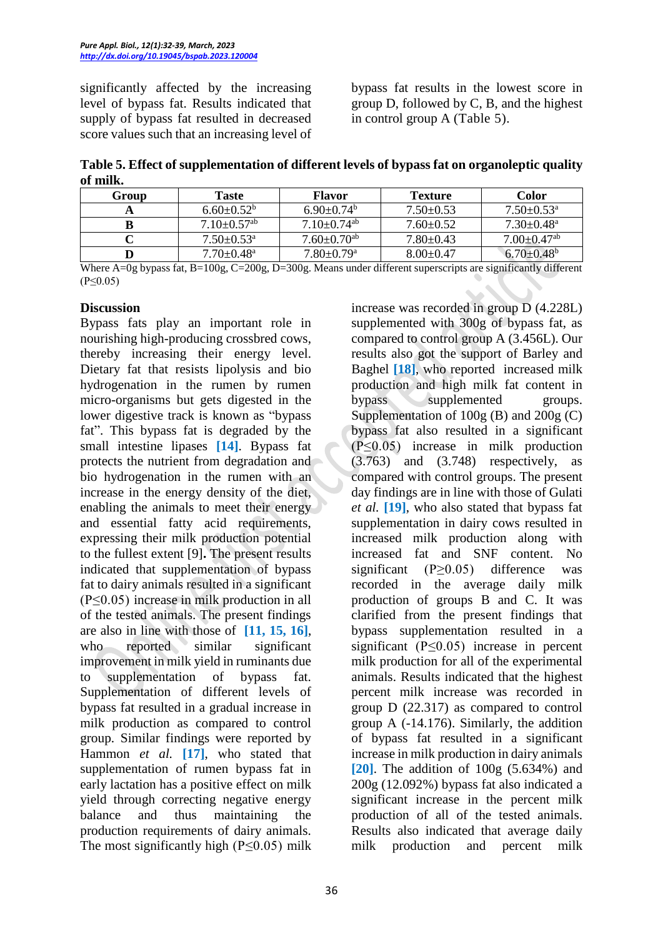significantly affected by the increasing level of bypass fat. Results indicated that supply of bypass fat resulted in decreased score values such that an increasing level of bypass fat results in the lowest score in group D, followed by C, B, and the highest in control group A (Table 5).

**Table 5. Effect of supplementation of different levels of bypass fat on organoleptic quality of milk.**

| Group | Taste                        | Flavor                       | <b>Texture</b>  | Color                         |
|-------|------------------------------|------------------------------|-----------------|-------------------------------|
|       | $6.60 + 0.52^b$              | $6.90\pm0.74^b$              | $7.50 \pm 0.53$ | $7.50 \pm 0.53$ <sup>a</sup>  |
|       | $7.10+0.57^{ab}$             | $7.10+0.74^{ab}$             | $7.60 \pm 0.52$ | $7.30 \pm 0.48$ <sup>a</sup>  |
|       | $7.50 + 0.53$ <sup>a</sup>   | $7.60 + 0.70$ <sup>ab</sup>  | $7.80 \pm 0.43$ | $7.00 \pm 0.47$ <sup>ab</sup> |
|       | $7.70 \pm 0.48$ <sup>a</sup> | $7.80 \pm 0.79$ <sup>a</sup> | $8.00 \pm 0.47$ | $6.70 \pm 0.48$ <sup>b</sup>  |

Where A=0g bypass fat, B=100g, C=200g, D=300g. Means under different superscripts are significantly different (P≤0.05)

#### **Discussion**

Bypass fats play an important role in nourishing high-producing crossbred cows, thereby increasing their energy level. Dietary fat that resists lipolysis and bio hydrogenation in the rumen by rumen micro-organisms but gets digested in the lower digestive track is known as "bypass fat". This bypass fat is degraded by the small intestine lipases **[14]**. Bypass fat protects the nutrient from degradation and bio hydrogenation in the rumen with an increase in the energy density of the diet, enabling the animals to meet their energy and essential fatty acid requirements, expressing their milk production potential to the fullest extent [9]**.** The present results indicated that supplementation of bypass fat to dairy animals resulted in a significant  $(P \le 0.05)$  increase in milk production in all of the tested animals. The present findings are also in line with those of **[11, 15, 16]**, who reported similar significant improvement in milk yield in ruminants due to supplementation of bypass fat. Supplementation of different levels of bypass fat resulted in a gradual increase in milk production as compared to control group. Similar findings were reported by Hammon *et al.* **[17]**, who stated that supplementation of rumen bypass fat in early lactation has a positive effect on milk yield through correcting negative energy balance and thus maintaining the production requirements of dairy animals. The most significantly high ( $P \le 0.05$ ) milk

increase was recorded in group D (4.228L) supplemented with 300g of bypass fat, as compared to control group A (3.456L). Our results also got the support of Barley and Baghel **[18]**, who reported increased milk production and high milk fat content in bypass supplemented groups. Supplementation of 100g (B) and 200g (C) bypass fat also resulted in a significant  $(\overline{P} \le 0.05)$  increase in milk production  $(3.763)$  and  $(3.748)$  respectively, as compared with control groups. The present day findings are in line with those of Gulati *et al.* **[19]**, who also stated that bypass fat supplementation in dairy cows resulted in increased milk production along with increased fat and SNF content. No significant (P≥0.05) difference was recorded in the average daily milk production of groups B and C. It was clarified from the present findings that bypass supplementation resulted in a significant ( $P \leq 0.05$ ) increase in percent milk production for all of the experimental animals. Results indicated that the highest percent milk increase was recorded in group D (22.317) as compared to control group A (-14.176). Similarly, the addition of bypass fat resulted in a significant increase in milk production in dairy animals **[20]**. The addition of 100g (5.634%) and 200g (12.092%) bypass fat also indicated a significant increase in the percent milk production of all of the tested animals. Results also indicated that average daily milk production and percent milk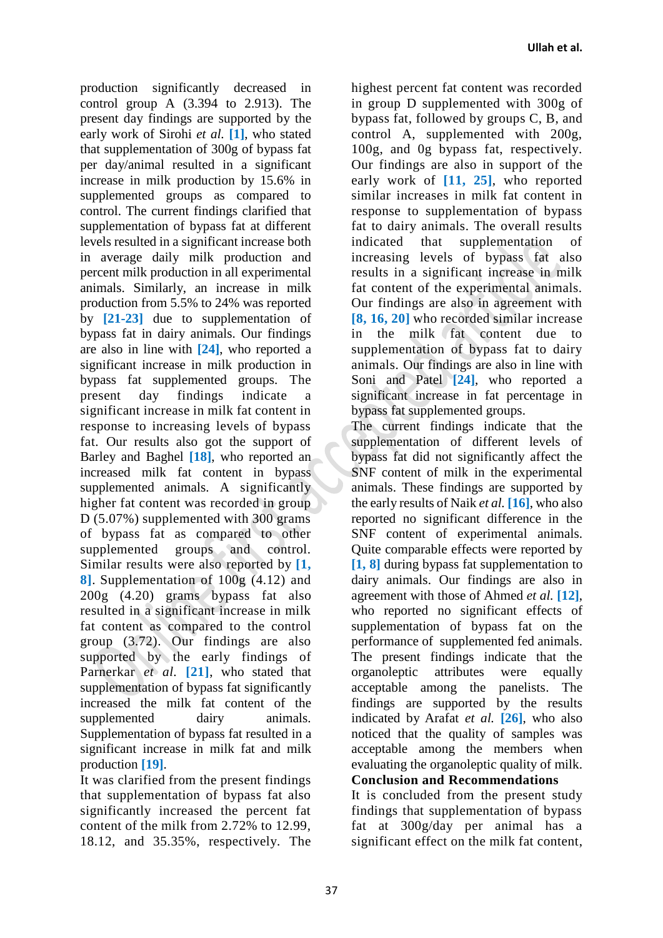production significantly decreased in control group A (3.394 to 2.913). The present day findings are supported by the early work of Sirohi *et al.* **[1]**, who stated that supplementation of 300g of bypass fat per day/animal resulted in a significant increase in milk production by 15.6% in supplemented groups as compared to control. The current findings clarified that supplementation of bypass fat at different levels resulted in a significant increase both in average daily milk production and percent milk production in all experimental animals. Similarly, an increase in milk production from 5.5% to 24% was reported by **[21-23]** due to supplementation of bypass fat in dairy animals. Our findings are also in line with **[24]**, who reported a significant increase in milk production in bypass fat supplemented groups. The present day findings indicate a significant increase in milk fat content in response to increasing levels of bypass fat. Our results also got the support of Barley and Baghel **[18]**, who reported an increased milk fat content in bypass supplemented animals. A significantly higher fat content was recorded in group D (5.07%) supplemented with 300 grams of bypass fat as compared to other supplemented groups and control. Similar results were also reported by **[1, 8]**. Supplementation of 100g (4.12) and 200g (4.20) grams bypass fat also resulted in a significant increase in milk fat content as compared to the control group (3.72). Our findings are also supported by the early findings of Parnerkar *et al.* **[21]**, who stated that supplementation of bypass fat significantly increased the milk fat content of the supplemented dairy animals. Supplementation of bypass fat resulted in a significant increase in milk fat and milk production **[19]**.

It was clarified from the present findings that supplementation of bypass fat also significantly increased the percent fat content of the milk from 2.72% to 12.99, 18.12, and 35.35%, respectively. The

highest percent fat content was recorded in group D supplemented with 300g of bypass fat, followed by groups C, B, and control A, supplemented with 200g, 100g, and 0g bypass fat, respectively. Our findings are also in support of the early work of **[11, 25]**, who reported similar increases in milk fat content in response to supplementation of bypass fat to dairy animals. The overall results indicated that supplementation of increasing levels of bypass fat also results in a significant increase in milk fat content of the experimental animals. Our findings are also in agreement with **[8, 16, 20]** who recorded similar increase in the milk fat content due to supplementation of bypass fat to dairy animals. Our findings are also in line with Soni and Patel **[24]**, who reported a significant increase in fat percentage in bypass fat supplemented groups.

The current findings indicate that the supplementation of different levels of bypass fat did not significantly affect the SNF content of milk in the experimental animals. These findings are supported by the early results of Naik *et al.* **[16]**, who also reported no significant difference in the SNF content of experimental animals. Quite comparable effects were reported by **[1, 8]** during bypass fat supplementation to dairy animals. Our findings are also in agreement with those of Ahmed *et al.* **[12]**, who reported no significant effects of supplementation of bypass fat on the performance of supplemented fed animals. The present findings indicate that the organoleptic attributes were equally acceptable among the panelists. The findings are supported by the results indicated by Arafat *et al.* **[26]**, who also noticed that the quality of samples was acceptable among the members when evaluating the organoleptic quality of milk.

**Conclusion and Recommendations**

It is concluded from the present study findings that supplementation of bypass fat at 300g/day per animal has a significant effect on the milk fat content,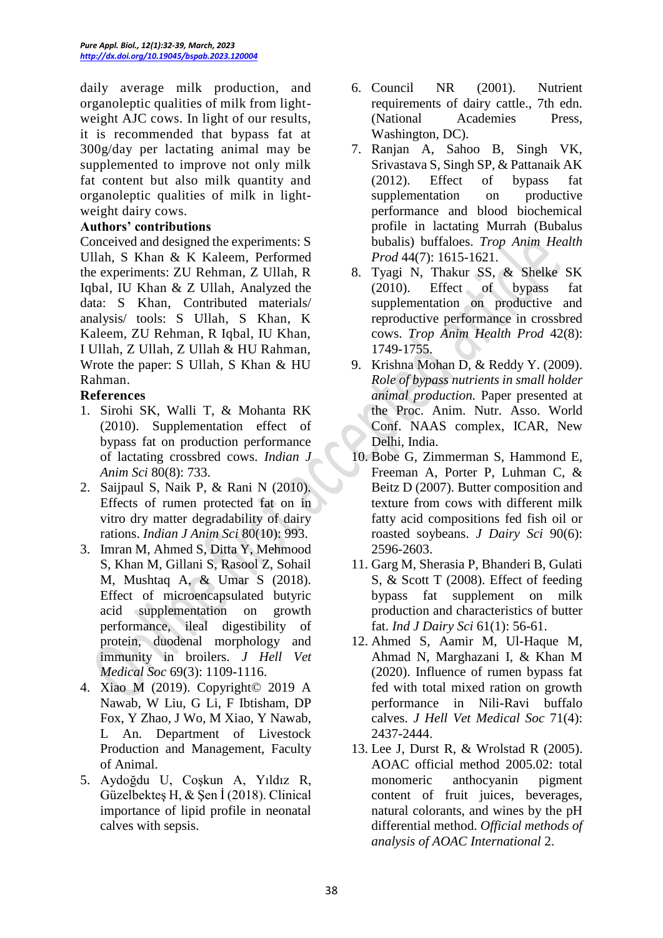daily average milk production, and organoleptic qualities of milk from lightweight AJC cows. In light of our results, it is recommended that bypass fat at 300g/day per lactating animal may be supplemented to improve not only milk fat content but also milk quantity and organoleptic qualities of milk in lightweight dairy cows.

#### **Authors' contributions**

Conceived and designed the experiments: S Ullah, S Khan & K Kaleem, Performed the experiments: ZU Rehman, Z Ullah, R Iqbal, IU Khan & Z Ullah, Analyzed the data: S Khan, Contributed materials/ analysis/ tools: S Ullah, S Khan, K Kaleem, ZU Rehman, R Iqbal, IU Khan, I Ullah, Z Ullah, Z Ullah & HU Rahman, Wrote the paper: S Ullah, S Khan & HU Rahman.

#### **References**

- 1. Sirohi SK, Walli T, & Mohanta RK (2010). Supplementation effect of bypass fat on production performance of lactating crossbred cows. *Indian J Anim Sci* 80(8): 733.
- 2. Saijpaul S, Naik P, & Rani N (2010). Effects of rumen protected fat on in vitro dry matter degradability of dairy rations. *Indian J Anim Sci* 80(10): 993.
- 3. Imran M, Ahmed S, Ditta Y, Mehmood S, Khan M, Gillani S, Rasool Z, Sohail M, Mushtaq A, & Umar S (2018). Effect of microencapsulated butyric acid supplementation on growth performance, ileal digestibility of protein, duodenal morphology and immunity in broilers. *J Hell Vet Medical Soc* 69(3): 1109-1116.
- 4. Xiao M (2019). Copyright© 2019 A Nawab, W Liu, G Li, F Ibtisham, DP Fox, Y Zhao, J Wo, M Xiao, Y Nawab, L An. Department of Livestock Production and Management, Faculty of Animal.
- 5. Aydoğdu U, Coşkun A, Yıldız R, Güzelbekteş H, & Şen İ (2018). Clinical importance of lipid profile in neonatal calves with sepsis.
- 6. Council NR (2001). Nutrient requirements of dairy cattle., 7th edn. (National Academies Press, Washington, DC).
- 7. Ranjan A, Sahoo B, Singh VK, Srivastava S, Singh SP, & Pattanaik AK (2012). Effect of bypass fat supplementation on productive performance and blood biochemical profile in lactating Murrah (Bubalus bubalis) buffaloes. *Trop Anim Health Prod* 44(7): 1615-1621.
- 8. Tyagi N, Thakur SS, & Shelke SK (2010). Effect of bypass fat supplementation on productive and reproductive performance in crossbred cows. *Trop Anim Health Prod* 42(8): 1749-1755.
- 9. Krishna Mohan D, & Reddy Y. (2009). *Role of bypass nutrients in small holder animal production.* Paper presented at the Proc. Anim. Nutr. Asso. World Conf. NAAS complex, ICAR, New Delhi, India.
- 10. Bobe G, Zimmerman S, Hammond E, Freeman A, Porter P, Luhman C, & Beitz D (2007). Butter composition and texture from cows with different milk fatty acid compositions fed fish oil or roasted soybeans. *J Dairy Sci* 90(6): 2596-2603.
- 11. Garg M, Sherasia P, Bhanderi B, Gulati S, & Scott T (2008). Effect of feeding bypass fat supplement on milk production and characteristics of butter fat. *Ind J Dairy Sci* 61(1): 56-61.
- 12. Ahmed S, Aamir M, Ul-Haque M, Ahmad N, Marghazani I, & Khan M (2020). Influence of rumen bypass fat fed with total mixed ration on growth performance in Nili-Ravi buffalo calves. *J Hell Vet Medical Soc* 71(4): 2437-2444.
- 13. Lee J, Durst R, & Wrolstad R (2005). AOAC official method 2005.02: total monomeric anthocyanin pigment content of fruit juices, beverages, natural colorants, and wines by the pH differential method. *Official methods of analysis of AOAC International* 2.